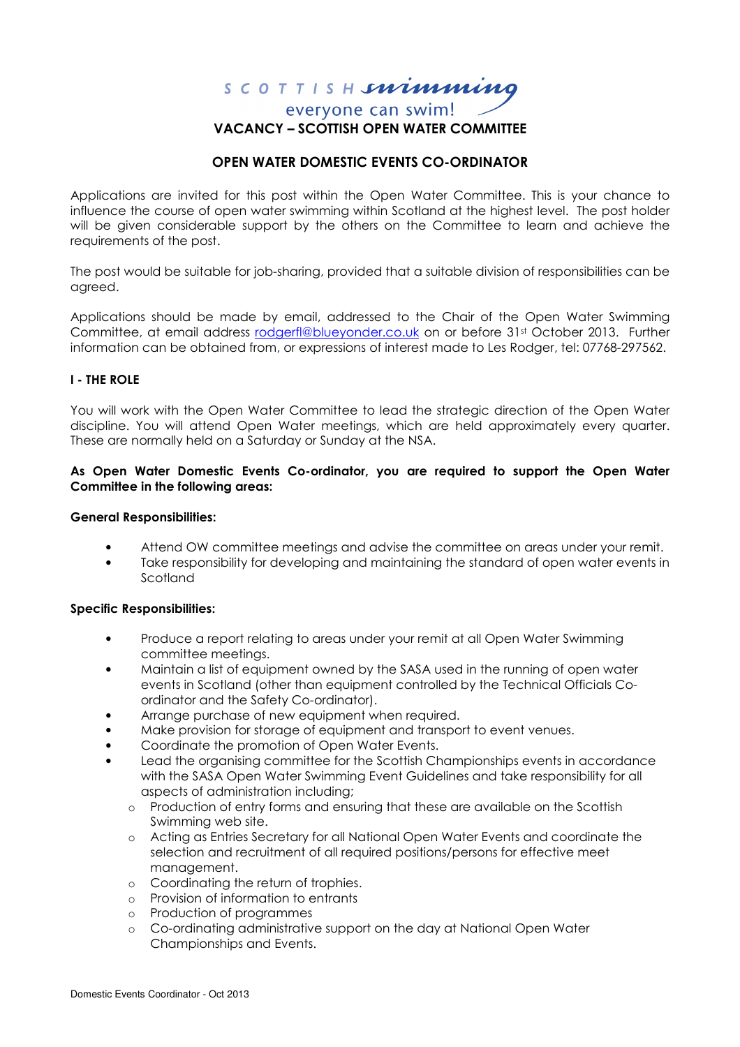# SCOTTISH**snimming** everyone can swim! VACANCY – SCOTTISH OPEN WATER COMMITTEE

## OPEN WATER DOMESTIC EVENTS CO-ORDINATOR

Applications are invited for this post within the Open Water Committee. This is your chance to influence the course of open water swimming within Scotland at the highest level. The post holder will be given considerable support by the others on the Committee to learn and achieve the requirements of the post.

The post would be suitable for job-sharing, provided that a suitable division of responsibilities can be agreed.

Applications should be made by email, addressed to the Chair of the Open Water Swimming Committee, at email address rodgerfl@blueyonder.co.uk on or before 31st October 2013. Further information can be obtained from, or expressions of interest made to Les Rodger, tel: 07768-297562.

## I - THE ROLE

You will work with the Open Water Committee to lead the strategic direction of the Open Water discipline. You will attend Open Water meetings, which are held approximately every quarter. These are normally held on a Saturday or Sunday at the NSA.

#### As Open Water Domestic Events Co-ordinator, you are required to support the Open Water Committee in the following areas:

#### General Responsibilities:

- Attend OW committee meetings and advise the committee on areas under your remit.
- Take responsibility for developing and maintaining the standard of open water events in **Scotland**

#### Specific Responsibilities:

- Produce a report relating to areas under your remit at all Open Water Swimming committee meetings.
- Maintain a list of equipment owned by the SASA used in the running of open water events in Scotland (other than equipment controlled by the Technical Officials Coordinator and the Safety Co-ordinator).
- Arrange purchase of new equipment when required.
- Make provision for storage of equipment and transport to event venues.
- Coordinate the promotion of Open Water Events.
- Lead the organising committee for the Scottish Championships events in accordance with the SASA Open Water Swimming Event Guidelines and take responsibility for all aspects of administration including;
	- o Production of entry forms and ensuring that these are available on the Scottish Swimming web site.
	- o Acting as Entries Secretary for all National Open Water Events and coordinate the selection and recruitment of all required positions/persons for effective meet management.
	- o Coordinating the return of trophies.
	- o Provision of information to entrants
	- o Production of programmes
	- o Co-ordinating administrative support on the day at National Open Water Championships and Events.